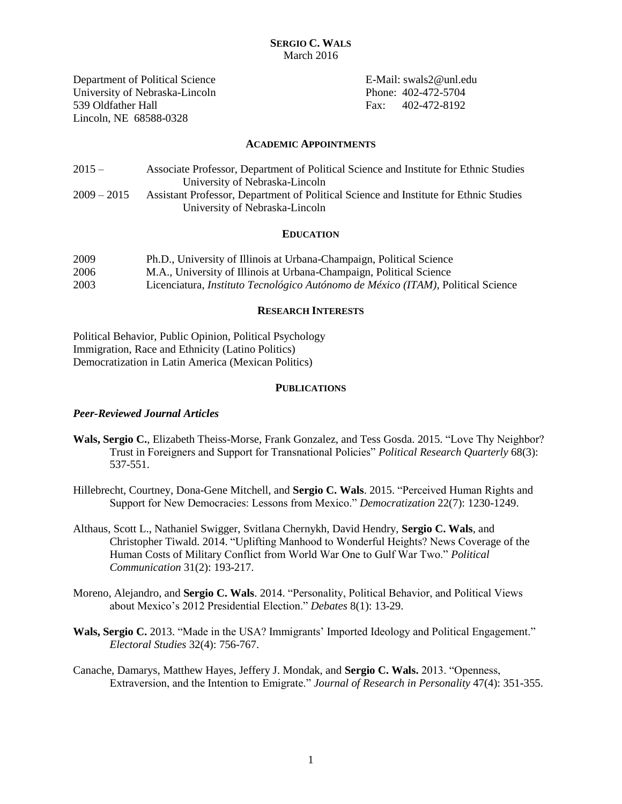Department of Political Science E-Mail: swals2@unl.edu University of Nebraska-Lincoln Phone: 402-472-5704 539 Oldfather Hall Fax: 402-472-8192 Lincoln, NE 68588-0328

### **ACADEMIC APPOINTMENTS**

| $2015 -$      | Associate Professor, Department of Political Science and Institute for Ethnic Studies |
|---------------|---------------------------------------------------------------------------------------|
|               | University of Nebraska-Lincoln                                                        |
| $2009 - 2015$ | Assistant Professor, Department of Political Science and Institute for Ethnic Studies |
|               | University of Nebraska-Lincoln                                                        |

# **EDUCATION**

| 2009 | Ph.D., University of Illinois at Urbana-Champaign, Political Science                     |
|------|------------------------------------------------------------------------------------------|
| 2006 | M.A., University of Illinois at Urbana-Champaign, Political Science                      |
| 2003 | Licenciatura, <i>Instituto Tecnológico Autónomo de México (ITAM)</i> , Political Science |

# **RESEARCH INTERESTS**

Political Behavior, Public Opinion, Political Psychology Immigration, Race and Ethnicity (Latino Politics) Democratization in Latin America (Mexican Politics)

# **PUBLICATIONS**

# *Peer-Reviewed Journal Articles*

- **Wals, Sergio C.**, Elizabeth Theiss-Morse, Frank Gonzalez, and Tess Gosda. 2015. "Love Thy Neighbor? Trust in Foreigners and Support for Transnational Policies" *Political Research Quarterly* 68(3): 537-551.
- Hillebrecht, Courtney, Dona-Gene Mitchell, and **Sergio C. Wals**. 2015. "Perceived Human Rights and Support for New Democracies: Lessons from Mexico." *Democratization* 22(7): 1230-1249.
- Althaus, Scott L., Nathaniel Swigger, Svitlana Chernykh, David Hendry, **Sergio C. Wals**, and Christopher Tiwald. 2014. "Uplifting Manhood to Wonderful Heights? News Coverage of the Human Costs of Military Conflict from World War One to Gulf War Two." *Political Communication* 31(2): 193-217.
- Moreno, Alejandro, and **Sergio C. Wals**. 2014. "Personality, Political Behavior, and Political Views about Mexico's 2012 Presidential Election." *Debates* 8(1): 13-29.
- **Wals, Sergio C.** 2013. "Made in the USA? Immigrants' Imported Ideology and Political Engagement." *Electoral Studies* 32(4): 756-767.
- Canache, Damarys, Matthew Hayes, Jeffery J. Mondak, and **Sergio C. Wals.** 2013. "Openness, Extraversion, and the Intention to Emigrate." *Journal of Research in Personality* 47(4): 351-355.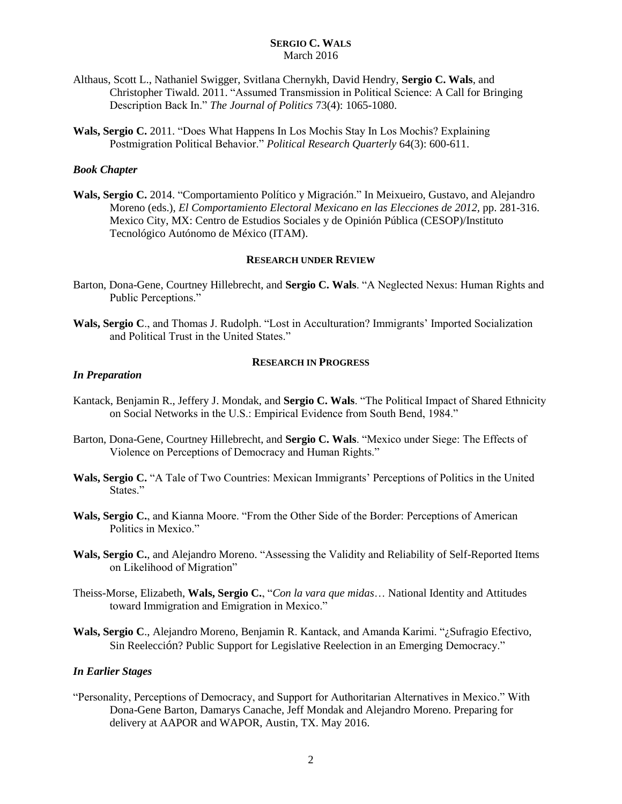- Althaus, Scott L., Nathaniel Swigger, Svitlana Chernykh, David Hendry, **Sergio C. Wals**, and Christopher Tiwald. 2011. "Assumed Transmission in Political Science: A Call for Bringing Description Back In." *The Journal of Politics* 73(4): 1065-1080.
- **Wals, Sergio C.** 2011. "Does What Happens In Los Mochis Stay In Los Mochis? Explaining Postmigration Political Behavior." *Political Research Quarterly* 64(3): 600-611.

# *Book Chapter*

**Wals, Sergio C.** 2014. "Comportamiento Político y Migración." In Meixueiro, Gustavo, and Alejandro Moreno (eds.), *El Comportamiento Electoral Mexicano en las Elecciones de 2012,* pp. 281-316. Mexico City, MX: Centro de Estudios Sociales y de Opinión Pública (CESOP)/Instituto Tecnológico Autónomo de México (ITAM).

### **RESEARCH UNDER REVIEW**

- Barton, Dona-Gene, Courtney Hillebrecht, and **Sergio C. Wals**. "A Neglected Nexus: Human Rights and Public Perceptions."
- **Wals, Sergio C**., and Thomas J. Rudolph. "Lost in Acculturation? Immigrants' Imported Socialization and Political Trust in the United States."

# **RESEARCH IN PROGRESS**

#### *In Preparation*

- Kantack, Benjamin R., Jeffery J. Mondak, and **Sergio C. Wals**. "The Political Impact of Shared Ethnicity on Social Networks in the U.S.: Empirical Evidence from South Bend, 1984."
- Barton, Dona-Gene, Courtney Hillebrecht, and **Sergio C. Wals**. "Mexico under Siege: The Effects of Violence on Perceptions of Democracy and Human Rights."
- **Wals, Sergio C.** "A Tale of Two Countries: Mexican Immigrants' Perceptions of Politics in the United States."
- **Wals, Sergio C.**, and Kianna Moore. "From the Other Side of the Border: Perceptions of American Politics in Mexico."
- **Wals, Sergio C.**, and Alejandro Moreno. "Assessing the Validity and Reliability of Self-Reported Items on Likelihood of Migration"
- Theiss-Morse, Elizabeth, **Wals, Sergio C.**, "*Con la vara que midas*… National Identity and Attitudes toward Immigration and Emigration in Mexico."
- **Wals, Sergio C**., Alejandro Moreno, Benjamin R. Kantack, and Amanda Karimi. "¿Sufragio Efectivo, Sin Reelección? Public Support for Legislative Reelection in an Emerging Democracy."

# *In Earlier Stages*

"Personality, Perceptions of Democracy, and Support for Authoritarian Alternatives in Mexico." With Dona-Gene Barton, Damarys Canache, Jeff Mondak and Alejandro Moreno. Preparing for delivery at AAPOR and WAPOR, Austin, TX. May 2016.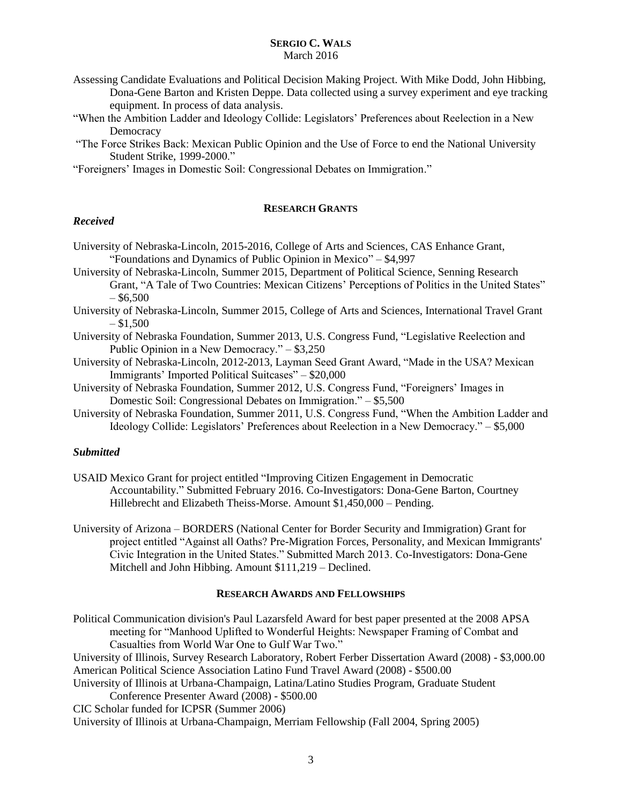- Assessing Candidate Evaluations and Political Decision Making Project. With Mike Dodd, John Hibbing, Dona-Gene Barton and Kristen Deppe. Data collected using a survey experiment and eye tracking equipment. In process of data analysis.
- "When the Ambition Ladder and Ideology Collide: Legislators' Preferences about Reelection in a New **Democracy**
- "The Force Strikes Back: Mexican Public Opinion and the Use of Force to end the National University Student Strike, 1999-2000."

"Foreigners' Images in Domestic Soil: Congressional Debates on Immigration."

# **RESEARCH GRANTS**

# *Received*

University of Nebraska-Lincoln, 2015-2016, College of Arts and Sciences, CAS Enhance Grant, "Foundations and Dynamics of Public Opinion in Mexico" – \$4,997

- University of Nebraska-Lincoln, Summer 2015, Department of Political Science, Senning Research Grant, "A Tale of Two Countries: Mexican Citizens' Perceptions of Politics in the United States"  $-$  \$6,500
- University of Nebraska-Lincoln, Summer 2015, College of Arts and Sciences, International Travel Grant  $- $1,500$
- University of Nebraska Foundation, Summer 2013, U.S. Congress Fund, "Legislative Reelection and Public Opinion in a New Democracy." – \$3,250
- University of Nebraska-Lincoln, 2012-2013, Layman Seed Grant Award, "Made in the USA? Mexican Immigrants' Imported Political Suitcases" – \$20,000
- University of Nebraska Foundation, Summer 2012, U.S. Congress Fund, "Foreigners' Images in Domestic Soil: Congressional Debates on Immigration." – \$5,500
- University of Nebraska Foundation, Summer 2011, U.S. Congress Fund, "When the Ambition Ladder and Ideology Collide: Legislators' Preferences about Reelection in a New Democracy." – \$5,000

# *Submitted*

- USAID Mexico Grant for project entitled "Improving Citizen Engagement in Democratic Accountability." Submitted February 2016. Co-Investigators: Dona-Gene Barton, Courtney Hillebrecht and Elizabeth Theiss-Morse. Amount \$1,450,000 – Pending.
- University of Arizona BORDERS (National Center for Border Security and Immigration) Grant for project entitled "Against all Oaths? Pre-Migration Forces, Personality, and Mexican Immigrants' Civic Integration in the United States." Submitted March 2013. Co-Investigators: Dona-Gene Mitchell and John Hibbing. Amount \$111,219 – Declined.

### **RESEARCH AWARDS AND FELLOWSHIPS**

Political Communication division's Paul Lazarsfeld Award for best paper presented at the 2008 APSA meeting for "Manhood Uplifted to Wonderful Heights: Newspaper Framing of Combat and Casualties from World War One to Gulf War Two."

University of Illinois, Survey Research Laboratory, Robert Ferber Dissertation Award (2008) - \$3,000.00 American Political Science Association Latino Fund Travel Award (2008) - \$500.00

University of Illinois at Urbana-Champaign, Latina/Latino Studies Program, Graduate Student Conference Presenter Award (2008) - \$500.00

CIC Scholar funded for ICPSR (Summer 2006)

University of Illinois at Urbana-Champaign, Merriam Fellowship (Fall 2004, Spring 2005)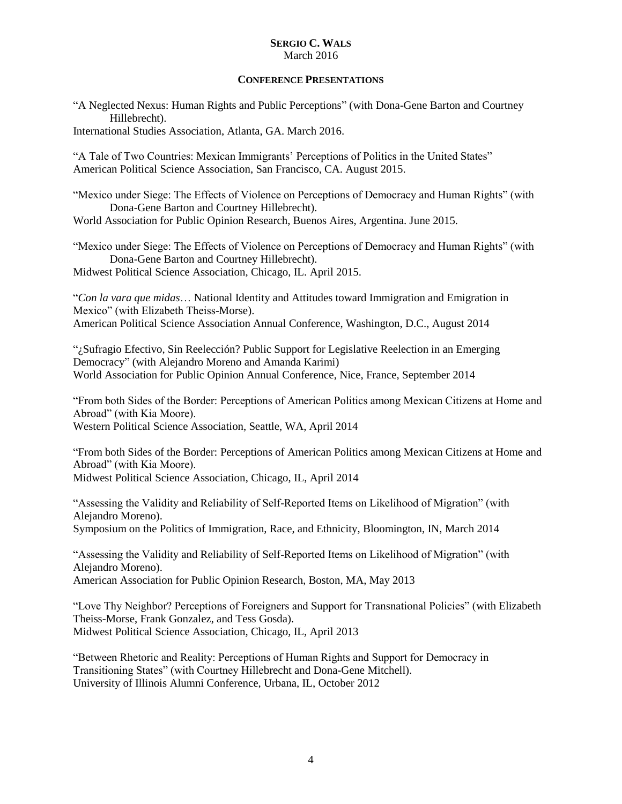## **CONFERENCE PRESENTATIONS**

"A Neglected Nexus: Human Rights and Public Perceptions" (with Dona-Gene Barton and Courtney Hillebrecht).

International Studies Association, Atlanta, GA. March 2016.

"A Tale of Two Countries: Mexican Immigrants' Perceptions of Politics in the United States" American Political Science Association, San Francisco, CA. August 2015.

"Mexico under Siege: The Effects of Violence on Perceptions of Democracy and Human Rights" (with Dona-Gene Barton and Courtney Hillebrecht).

World Association for Public Opinion Research, Buenos Aires, Argentina. June 2015.

"Mexico under Siege: The Effects of Violence on Perceptions of Democracy and Human Rights" (with Dona-Gene Barton and Courtney Hillebrecht). Midwest Political Science Association, Chicago, IL. April 2015.

"*Con la vara que midas*… National Identity and Attitudes toward Immigration and Emigration in Mexico" (with Elizabeth Theiss-Morse). American Political Science Association Annual Conference, Washington, D.C., August 2014

"¿Sufragio Efectivo, Sin Reelección? Public Support for Legislative Reelection in an Emerging Democracy" (with Alejandro Moreno and Amanda Karimi) World Association for Public Opinion Annual Conference, Nice, France, September 2014

"From both Sides of the Border: Perceptions of American Politics among Mexican Citizens at Home and Abroad" (with Kia Moore).

Western Political Science Association, Seattle, WA, April 2014

"From both Sides of the Border: Perceptions of American Politics among Mexican Citizens at Home and Abroad" (with Kia Moore). Midwest Political Science Association, Chicago, IL, April 2014

"Assessing the Validity and Reliability of Self-Reported Items on Likelihood of Migration" (with Alejandro Moreno).

Symposium on the Politics of Immigration, Race, and Ethnicity, Bloomington, IN, March 2014

"Assessing the Validity and Reliability of Self-Reported Items on Likelihood of Migration" (with Alejandro Moreno).

American Association for Public Opinion Research, Boston, MA, May 2013

"Love Thy Neighbor? Perceptions of Foreigners and Support for Transnational Policies" (with Elizabeth Theiss-Morse, Frank Gonzalez, and Tess Gosda). Midwest Political Science Association, Chicago, IL, April 2013

"Between Rhetoric and Reality: Perceptions of Human Rights and Support for Democracy in Transitioning States" (with Courtney Hillebrecht and Dona-Gene Mitchell). University of Illinois Alumni Conference, Urbana, IL, October 2012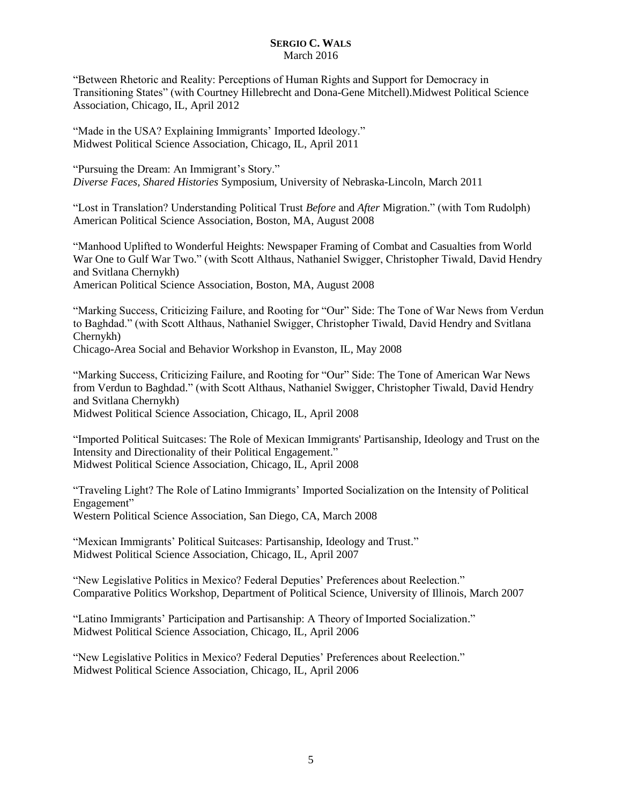"Between Rhetoric and Reality: Perceptions of Human Rights and Support for Democracy in Transitioning States" (with Courtney Hillebrecht and Dona-Gene Mitchell).Midwest Political Science Association, Chicago, IL, April 2012

"Made in the USA? Explaining Immigrants' Imported Ideology." Midwest Political Science Association, Chicago, IL, April 2011

"Pursuing the Dream: An Immigrant's Story." *Diverse Faces, Shared Histories* Symposium, University of Nebraska-Lincoln, March 2011

"Lost in Translation? Understanding Political Trust *Before* and *After* Migration." (with Tom Rudolph) American Political Science Association, Boston, MA, August 2008

"Manhood Uplifted to Wonderful Heights: Newspaper Framing of Combat and Casualties from World War One to Gulf War Two." (with Scott Althaus, Nathaniel Swigger, Christopher Tiwald, David Hendry and Svitlana Chernykh)

American Political Science Association, Boston, MA, August 2008

"Marking Success, Criticizing Failure, and Rooting for "Our" Side: The Tone of War News from Verdun to Baghdad." (with Scott Althaus, Nathaniel Swigger, Christopher Tiwald, David Hendry and Svitlana Chernykh)

Chicago-Area Social and Behavior Workshop in Evanston, IL, May 2008

"Marking Success, Criticizing Failure, and Rooting for "Our" Side: The Tone of American War News from Verdun to Baghdad." (with Scott Althaus, Nathaniel Swigger, Christopher Tiwald, David Hendry and Svitlana Chernykh) Midwest Political Science Association, Chicago, IL, April 2008

"Imported Political Suitcases: The Role of Mexican Immigrants' Partisanship, Ideology and Trust on the Intensity and Directionality of their Political Engagement." Midwest Political Science Association, Chicago, IL, April 2008

"Traveling Light? The Role of Latino Immigrants' Imported Socialization on the Intensity of Political Engagement" Western Political Science Association, San Diego, CA, March 2008

"Mexican Immigrants' Political Suitcases: Partisanship, Ideology and Trust." Midwest Political Science Association, Chicago, IL, April 2007

"New Legislative Politics in Mexico? Federal Deputies' Preferences about Reelection." Comparative Politics Workshop, Department of Political Science, University of Illinois, March 2007

"Latino Immigrants' Participation and Partisanship: A Theory of Imported Socialization." Midwest Political Science Association, Chicago, IL, April 2006

"New Legislative Politics in Mexico? Federal Deputies' Preferences about Reelection." Midwest Political Science Association, Chicago, IL, April 2006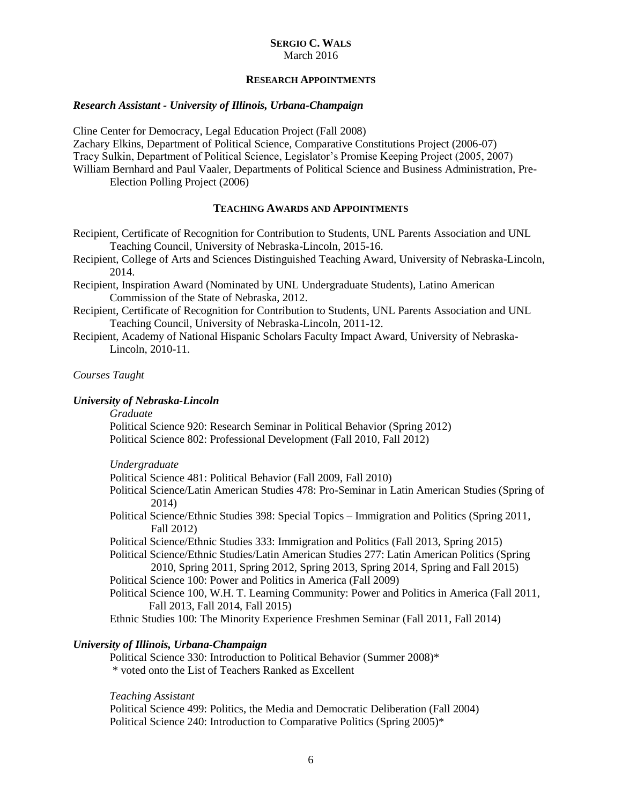# **RESEARCH APPOINTMENTS**

# *Research Assistant - University of Illinois, Urbana-Champaign*

Cline Center for Democracy, Legal Education Project (Fall 2008) Zachary Elkins, Department of Political Science, Comparative Constitutions Project (2006-07) Tracy Sulkin, Department of Political Science, Legislator's Promise Keeping Project (2005, 2007) William Bernhard and Paul Vaaler, Departments of Political Science and Business Administration, Pre-Election Polling Project (2006)

# **TEACHING AWARDS AND APPOINTMENTS**

Recipient, Certificate of Recognition for Contribution to Students, UNL Parents Association and UNL Teaching Council, University of Nebraska-Lincoln, 2015-16.

Recipient, College of Arts and Sciences Distinguished Teaching Award, University of Nebraska-Lincoln, 2014.

- Recipient, Inspiration Award (Nominated by UNL Undergraduate Students), Latino American Commission of the State of Nebraska, 2012.
- Recipient, Certificate of Recognition for Contribution to Students, UNL Parents Association and UNL Teaching Council, University of Nebraska-Lincoln, 2011-12.
- Recipient, Academy of National Hispanic Scholars Faculty Impact Award, University of Nebraska-Lincoln, 2010-11.

# *Courses Taught*

## *University of Nebraska-Lincoln*

*Graduate* 

Political Science 920: Research Seminar in Political Behavior (Spring 2012) Political Science 802: Professional Development (Fall 2010, Fall 2012)

### *Undergraduate*

Political Science 481: Political Behavior (Fall 2009, Fall 2010)

- Political Science/Latin American Studies 478: Pro-Seminar in Latin American Studies (Spring of 2014)
- Political Science/Ethnic Studies 398: Special Topics Immigration and Politics (Spring 2011, Fall 2012)

Political Science/Ethnic Studies 333: Immigration and Politics (Fall 2013, Spring 2015)

Political Science/Ethnic Studies/Latin American Studies 277: Latin American Politics (Spring 2010, Spring 2011, Spring 2012, Spring 2013, Spring 2014, Spring and Fall 2015)

Political Science 100: Power and Politics in America (Fall 2009)

- Political Science 100, W.H. T. Learning Community: Power and Politics in America (Fall 2011, Fall 2013, Fall 2014, Fall 2015)
- Ethnic Studies 100: The Minority Experience Freshmen Seminar (Fall 2011, Fall 2014)

# *University of Illinois, Urbana-Champaign*

Political Science 330: Introduction to Political Behavior (Summer 2008)\* \* voted onto the List of Teachers Ranked as Excellent

### *Teaching Assistant*

Political Science 499: Politics, the Media and Democratic Deliberation (Fall 2004) Political Science 240: Introduction to Comparative Politics (Spring 2005)\*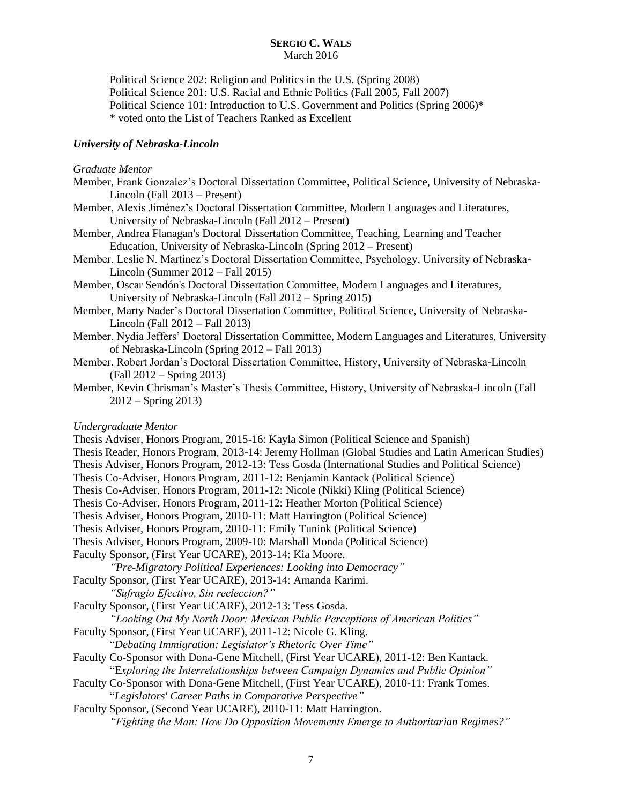Political Science 202: Religion and Politics in the U.S. (Spring 2008) Political Science 201: U.S. Racial and Ethnic Politics (Fall 2005, Fall 2007) Political Science 101: Introduction to U.S. Government and Politics (Spring 2006)\* \* voted onto the List of Teachers Ranked as Excellent

# *University of Nebraska-Lincoln*

## *Graduate Mentor*

- Member, Frank Gonzalez's Doctoral Dissertation Committee, Political Science, University of Nebraska-Lincoln (Fall 2013 – Present)
- Member, Alexis Jiménez's Doctoral Dissertation Committee, Modern Languages and Literatures, University of Nebraska-Lincoln (Fall 2012 – Present)
- Member, Andrea Flanagan's Doctoral Dissertation Committee, Teaching, Learning and Teacher Education, University of Nebraska-Lincoln (Spring 2012 – Present)
- Member, Leslie N. Martinez's Doctoral Dissertation Committee, Psychology, University of Nebraska-Lincoln (Summer 2012 – Fall 2015)
- Member, Oscar Sendón's Doctoral Dissertation Committee, Modern Languages and Literatures, University of Nebraska-Lincoln (Fall 2012 – Spring 2015)
- Member, Marty Nader's Doctoral Dissertation Committee, Political Science, University of Nebraska-Lincoln (Fall 2012 – Fall 2013)
- Member, Nydia Jeffers' Doctoral Dissertation Committee, Modern Languages and Literatures, University of Nebraska-Lincoln (Spring 2012 – Fall 2013)
- Member, Robert Jordan's Doctoral Dissertation Committee, History, University of Nebraska-Lincoln (Fall 2012 – Spring 2013)
- Member, Kevin Chrisman's Master's Thesis Committee, History, University of Nebraska-Lincoln (Fall 2012 – Spring 2013)

# *Undergraduate Mentor*

Thesis Adviser, Honors Program, 2015-16: Kayla Simon (Political Science and Spanish) Thesis Reader, Honors Program, 2013-14: Jeremy Hollman (Global Studies and Latin American Studies) Thesis Adviser, Honors Program, 2012-13: Tess Gosda (International Studies and Political Science) Thesis Co-Adviser, Honors Program, 2011-12: Benjamin Kantack (Political Science) Thesis Co-Adviser, Honors Program, 2011-12: Nicole (Nikki) Kling (Political Science) Thesis Co-Adviser, Honors Program, 2011-12: Heather Morton (Political Science) Thesis Adviser, Honors Program, 2010-11: Matt Harrington (Political Science) Thesis Adviser, Honors Program, 2010-11: Emily Tunink (Political Science) Thesis Adviser, Honors Program, 2009-10: Marshall Monda (Political Science) Faculty Sponsor, (First Year UCARE), 2013-14: Kia Moore. *"Pre-Migratory Political Experiences: Looking into Democracy"* Faculty Sponsor, (First Year UCARE), 2013-14: Amanda Karimi. *"Sufragio Efectivo, Sin reeleccion?"* Faculty Sponsor, (First Year UCARE), 2012-13: Tess Gosda. *"Looking Out My North Door: Mexican Public Perceptions of American Politics"* Faculty Sponsor, (First Year UCARE), 2011-12: Nicole G. Kling. "*Debating Immigration: Legislator's Rhetoric Over Time"* Faculty Co-Sponsor with Dona-Gene Mitchell, (First Year UCARE), 2011-12: Ben Kantack. "E*xploring the Interrelationships between Campaign Dynamics and Public Opinion"* Faculty Co-Sponsor with Dona-Gene Mitchell, (First Year UCARE), 2010-11: Frank Tomes. "*Legislators' Career Paths in Comparative Perspective"* Faculty Sponsor, (Second Year UCARE), 2010-11: Matt Harrington. *"Fighting the Man: How Do Opposition Movements Emerge to Authoritarian Regimes?"*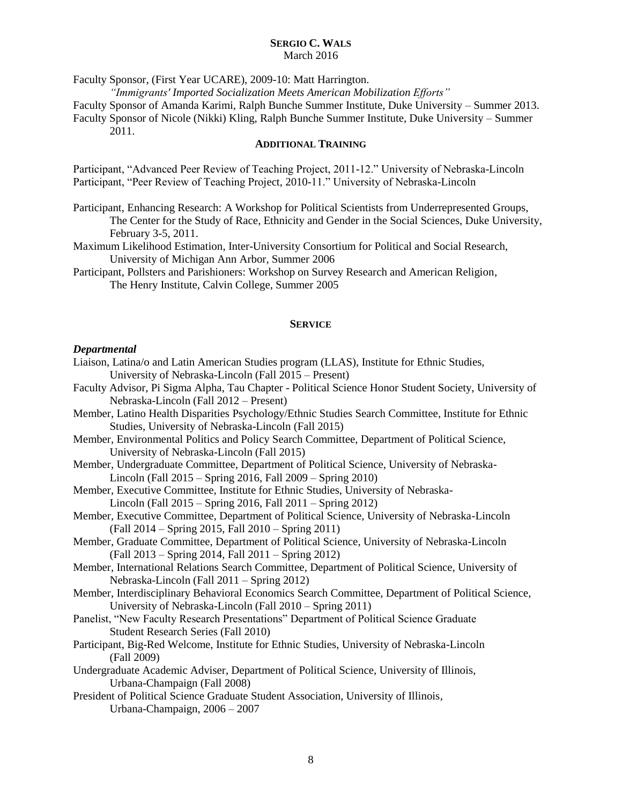Faculty Sponsor, (First Year UCARE), 2009-10: Matt Harrington.

*"Immigrants' Imported Socialization Meets American Mobilization Efforts"*

Faculty Sponsor of Amanda Karimi, Ralph Bunche Summer Institute, Duke University – Summer 2013. Faculty Sponsor of Nicole (Nikki) Kling, Ralph Bunche Summer Institute, Duke University – Summer

2011.

#### **ADDITIONAL TRAINING**

Participant, "Advanced Peer Review of Teaching Project, 2011-12." University of Nebraska-Lincoln Participant, "Peer Review of Teaching Project, 2010-11." University of Nebraska-Lincoln

- Participant, Enhancing Research: A Workshop for Political Scientists from Underrepresented Groups, The Center for the Study of Race, Ethnicity and Gender in the Social Sciences, Duke University, February 3-5, 2011.
- Maximum Likelihood Estimation, Inter-University Consortium for Political and Social Research, University of Michigan Ann Arbor, Summer 2006
- Participant, Pollsters and Parishioners: Workshop on Survey Research and American Religion, The Henry Institute, Calvin College, Summer 2005

### **SERVICE**

#### *Departmental*

- Liaison, Latina/o and Latin American Studies program (LLAS), Institute for Ethnic Studies, University of Nebraska-Lincoln (Fall 2015 – Present)
- Faculty Advisor, Pi Sigma Alpha, Tau Chapter Political Science Honor Student Society, University of Nebraska-Lincoln (Fall 2012 – Present)
- Member, Latino Health Disparities Psychology/Ethnic Studies Search Committee, Institute for Ethnic Studies, University of Nebraska-Lincoln (Fall 2015)
- Member, Environmental Politics and Policy Search Committee, Department of Political Science, University of Nebraska-Lincoln (Fall 2015)
- Member, Undergraduate Committee, Department of Political Science, University of Nebraska-Lincoln (Fall 2015 – Spring 2016, Fall 2009 – Spring 2010)
- Member, Executive Committee, Institute for Ethnic Studies, University of Nebraska-Lincoln (Fall 2015 – Spring 2016, Fall 2011 – Spring 2012)
- Member, Executive Committee, Department of Political Science, University of Nebraska-Lincoln (Fall 2014 – Spring 2015, Fall 2010 – Spring 2011)
- Member, Graduate Committee, Department of Political Science, University of Nebraska-Lincoln (Fall 2013 – Spring 2014, Fall 2011 – Spring 2012)
- Member, International Relations Search Committee, Department of Political Science, University of Nebraska-Lincoln (Fall 2011 – Spring 2012)
- Member, Interdisciplinary Behavioral Economics Search Committee, Department of Political Science, University of Nebraska-Lincoln (Fall 2010 – Spring 2011)
- Panelist, "New Faculty Research Presentations" Department of Political Science Graduate Student Research Series (Fall 2010)
- Participant, Big-Red Welcome, Institute for Ethnic Studies, University of Nebraska-Lincoln (Fall 2009)
- Undergraduate Academic Adviser, Department of Political Science, University of Illinois, Urbana-Champaign (Fall 2008)
- President of Political Science Graduate Student Association, University of Illinois, Urbana-Champaign*,* 2006 – 2007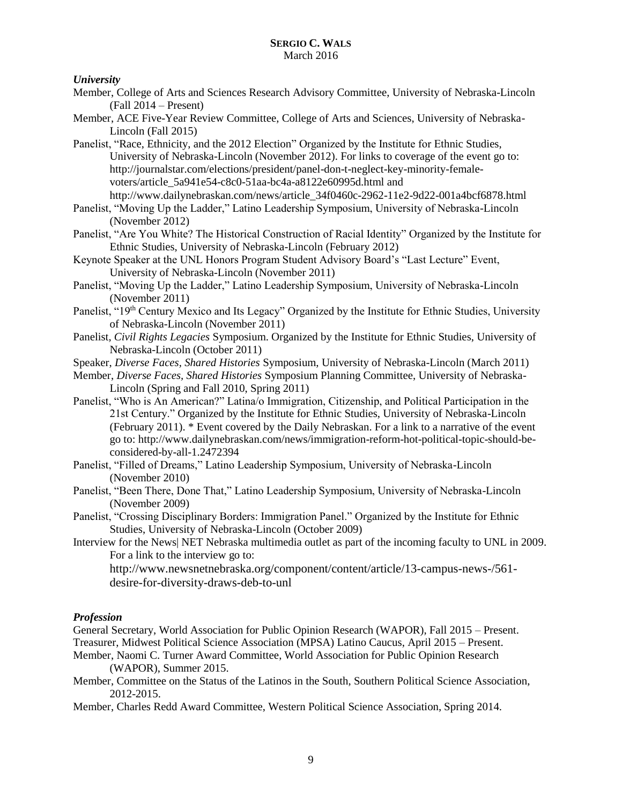# *University*

- Member, College of Arts and Sciences Research Advisory Committee, University of Nebraska-Lincoln (Fall 2014 – Present)
- Member, ACE Five-Year Review Committee, College of Arts and Sciences, University of Nebraska-Lincoln (Fall 2015)
- Panelist, "Race, Ethnicity, and the 2012 Election" Organized by the Institute for Ethnic Studies, University of Nebraska-Lincoln (November 2012). For links to coverage of the event go to: [http://journalstar.com/elections/president/panel-don-t-neglect-key-minority-female](https://bl2prd0810.outlook.com/owa/redir.aspx?C=Rn8bB5kGb0CQFQwahTcN5bHl2gvAxM8IesLlmnbBaJyybkaOcYIYrIdJHInDdZoFffAbRvTE-pQ.&URL=http%3a%2f%2fjournalstar.com%2felections%2fpresident%2fpanel-don-t-neglect-key-minority-female-voters%2farticle_5a941e54-c8c0-51aa-bc4a-a8122e60995d.html)[voters/article\\_5a941e54-c8c0-51aa-bc4a-a8122e60995d.html](https://bl2prd0810.outlook.com/owa/redir.aspx?C=Rn8bB5kGb0CQFQwahTcN5bHl2gvAxM8IesLlmnbBaJyybkaOcYIYrIdJHInDdZoFffAbRvTE-pQ.&URL=http%3a%2f%2fjournalstar.com%2felections%2fpresident%2fpanel-don-t-neglect-key-minority-female-voters%2farticle_5a941e54-c8c0-51aa-bc4a-a8122e60995d.html) and [http://www.dailynebraskan.com/news/article\\_34f0460c-2962-11e2-9d22-001a4bcf6878.html](https://bl2prd0810.outlook.com/owa/redir.aspx?C=Rn8bB5kGb0CQFQwahTcN5bHl2gvAxM8IesLlmnbBaJyybkaOcYIYrIdJHInDdZoFffAbRvTE-pQ.&URL=http%3a%2f%2fwww.dailynebraskan.com%2fnews%2farticle_34f0460c-2962-11e2-9d22-001a4bcf6878.html)
- Panelist, "Moving Up the Ladder," Latino Leadership Symposium, University of Nebraska-Lincoln (November 2012)
- Panelist, "Are You White? The Historical Construction of Racial Identity" Organized by the Institute for Ethnic Studies, University of Nebraska-Lincoln (February 2012)
- Keynote Speaker at the UNL Honors Program Student Advisory Board's "Last Lecture" Event, University of Nebraska-Lincoln (November 2011)
- Panelist, "Moving Up the Ladder," Latino Leadership Symposium, University of Nebraska-Lincoln (November 2011)
- Panelist, "19<sup>th</sup> Century Mexico and Its Legacy" Organized by the Institute for Ethnic Studies, University of Nebraska-Lincoln (November 2011)
- Panelist, *Civil Rights Legacies* Symposium. Organized by the Institute for Ethnic Studies, University of Nebraska-Lincoln (October 2011)
- Speaker, *Diverse Faces, Shared Histories* Symposium, University of Nebraska-Lincoln (March 2011)
- Member, *Diverse Faces, Shared Histories* Symposium Planning Committee, University of Nebraska-Lincoln (Spring and Fall 2010, Spring 2011)
- Panelist, "Who is An American?" Latina/o Immigration, Citizenship, and Political Participation in the 21st Century." Organized by the Institute for Ethnic Studies, University of Nebraska-Lincoln (February 2011). \* Event covered by the Daily Nebraskan. For a link to a narrative of the event go to: http://www.dailynebraskan.com/news/immigration-reform-hot-political-topic-should-beconsidered-by-all-1.2472394
- Panelist, "Filled of Dreams," Latino Leadership Symposium, University of Nebraska-Lincoln (November 2010)
- Panelist, "Been There, Done That," Latino Leadership Symposium, University of Nebraska-Lincoln (November 2009)
- Panelist, "Crossing Disciplinary Borders: Immigration Panel." Organized by the Institute for Ethnic Studies, University of Nebraska-Lincoln (October 2009)
- Interview for the News| NET Nebraska multimedia outlet as part of the incoming faculty to UNL in 2009. For a link to the interview go to:

[http://www.newsnetnebraska.org/component/content/article/13-campus-news-/561](http://www.newsnetnebraska.org/component/content/article/13-campus-news-/561-desire-for-diversity-draws-deb-to-unl) [desire-for-diversity-draws-deb-to-unl](http://www.newsnetnebraska.org/component/content/article/13-campus-news-/561-desire-for-diversity-draws-deb-to-unl)

# *Profession*

General Secretary, World Association for Public Opinion Research (WAPOR), Fall 2015 – Present. Treasurer, Midwest Political Science Association (MPSA) Latino Caucus, April 2015 – Present.

- Member, Naomi C. Turner Award Committee, World Association for Public Opinion Research (WAPOR), Summer 2015.
- Member, Committee on the Status of the Latinos in the South, Southern Political Science Association, 2012-2015.
- Member, Charles Redd Award Committee, Western Political Science Association, Spring 2014.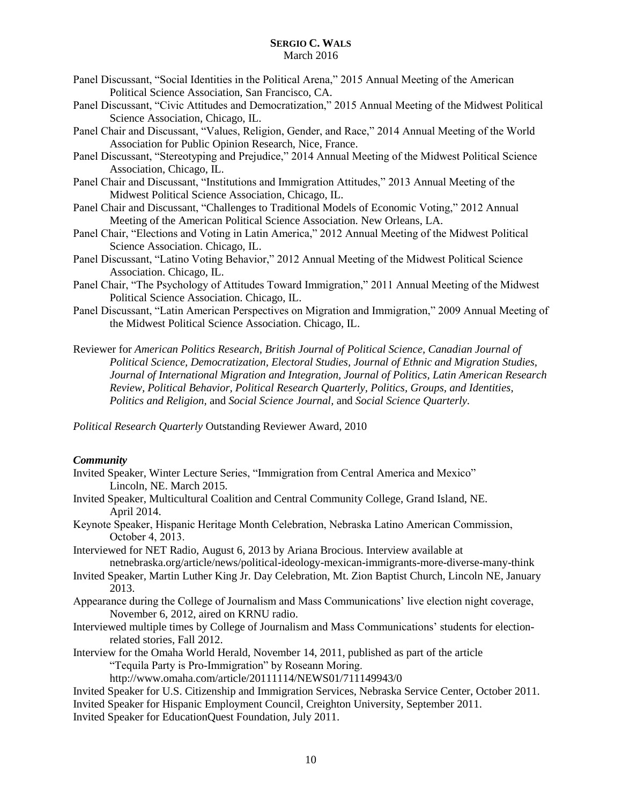- Panel Discussant, "Social Identities in the Political Arena," 2015 Annual Meeting of the American Political Science Association, San Francisco, CA.
- Panel Discussant, "Civic Attitudes and Democratization," 2015 Annual Meeting of the Midwest Political Science Association, Chicago, IL.
- Panel Chair and Discussant, "Values, Religion, Gender, and Race," 2014 Annual Meeting of the World Association for Public Opinion Research, Nice, France.
- Panel Discussant, "Stereotyping and Prejudice," 2014 Annual Meeting of the Midwest Political Science Association, Chicago, IL.
- Panel Chair and Discussant, "Institutions and Immigration Attitudes," 2013 Annual Meeting of the Midwest Political Science Association, Chicago, IL.
- Panel Chair and Discussant, "Challenges to Traditional Models of Economic Voting," 2012 Annual Meeting of the American Political Science Association. New Orleans, LA.
- Panel Chair, "Elections and Voting in Latin America," 2012 Annual Meeting of the Midwest Political Science Association. Chicago, IL.
- Panel Discussant, "Latino Voting Behavior," 2012 Annual Meeting of the Midwest Political Science Association. Chicago, IL.
- Panel Chair, "The Psychology of Attitudes Toward Immigration," 2011 Annual Meeting of the Midwest Political Science Association. Chicago, IL.
- Panel Discussant, "Latin American Perspectives on Migration and Immigration," 2009 Annual Meeting of the Midwest Political Science Association. Chicago, IL.
- Reviewer for *American Politics Research, British Journal of Political Science, Canadian Journal of Political Science, Democratization, Electoral Studies, Journal of Ethnic and Migration Studies, Journal of International Migration and Integration, Journal of Politics, Latin American Research Review, Political Behavior, Political Research Quarterly, Politics, Groups, and Identities, Politics and Religion,* and *Social Science Journal,* and *Social Science Quarterly.*

*Political Research Quarterly* Outstanding Reviewer Award, 2010

### *Community*

- Invited Speaker, Winter Lecture Series, "Immigration from Central America and Mexico" Lincoln, NE. March 2015.
- Invited Speaker, Multicultural Coalition and Central Community College, Grand Island, NE. April 2014.
- Keynote Speaker, Hispanic Heritage Month Celebration, Nebraska Latino American Commission, October 4, 2013.
- Interviewed for NET Radio, August 6, 2013 by Ariana Brocious. Interview available at netnebraska.org/article/news/political-ideology-mexican-immigrants-more-diverse-many-think
- Invited Speaker, Martin Luther King Jr. Day Celebration, Mt. Zion Baptist Church, Lincoln NE, January 2013.
- Appearance during the College of Journalism and Mass Communications' live election night coverage, November 6, 2012, aired on KRNU radio.
- Interviewed multiple times by College of Journalism and Mass Communications' students for electionrelated stories, Fall 2012.
- Interview for the Omaha World Herald, November 14, 2011, published as part of the article "Tequila Party is Pro-Immigration" by Roseann Moring.

```
http://www.omaha.com/article/20111114/NEWS01/711149943/0
```
- Invited Speaker for U.S. Citizenship and Immigration Services, Nebraska Service Center, October 2011. Invited Speaker for Hispanic Employment Council, Creighton University, September 2011.
- Invited Speaker for EducationQuest Foundation, July 2011.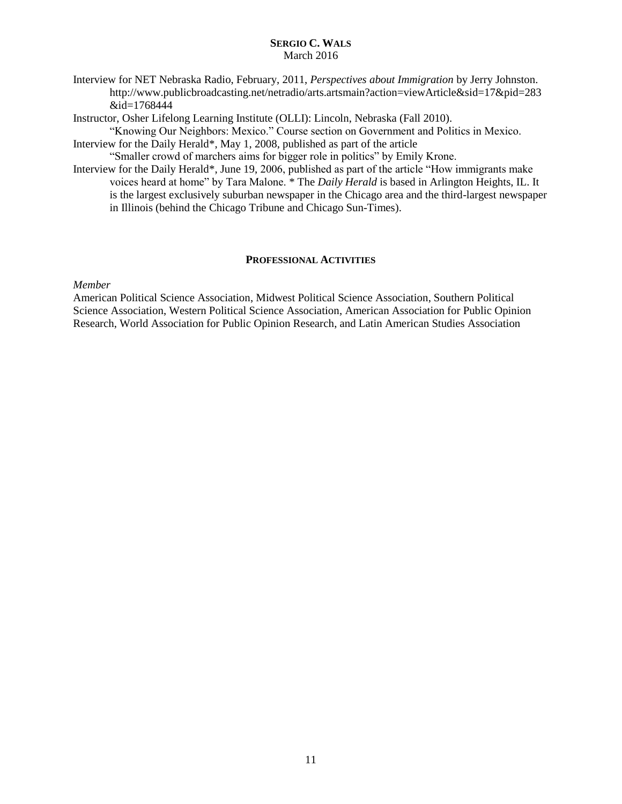Interview for NET Nebraska Radio, February, 2011, *Perspectives about Immigration* by Jerry Johnston. http://www.publicbroadcasting.net/netradio/arts.artsmain?action=viewArticle&sid=17&pid=283 &id=1768444

Instructor, Osher Lifelong Learning Institute (OLLI): Lincoln, Nebraska (Fall 2010).

"Knowing Our Neighbors: Mexico." Course section on Government and Politics in Mexico. Interview for the Daily Herald\*, May 1, 2008, published as part of the article

"Smaller crowd of marchers aims for bigger role in politics" by Emily Krone.

Interview for the Daily Herald\*, June 19, 2006, published as part of the article "How immigrants make voices heard at home" by Tara Malone. \* The *Daily Herald* is based in Arlington Heights, IL. It is the largest exclusively suburban newspaper in the Chicago area and the third-largest newspaper in Illinois (behind the [Chicago Tribune](http://en.wikipedia.org/wiki/Chicago_Tribune) and [Chicago Sun-Times\)](http://en.wikipedia.org/wiki/Chicago_Sun-Times).

# **PROFESSIONAL ACTIVITIES**

*Member*

American Political Science Association, Midwest Political Science Association, Southern Political Science Association, Western Political Science Association, American Association for Public Opinion Research, World Association for Public Opinion Research, and Latin American Studies Association